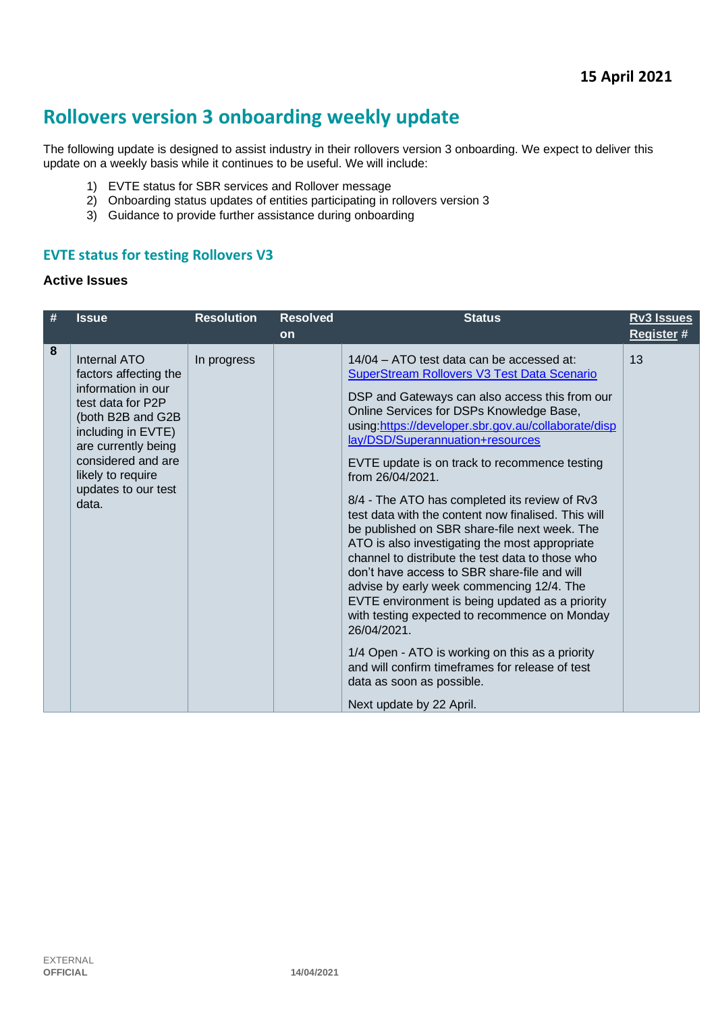# **Rollovers version 3 onboarding weekly update**

The following update is designed to assist industry in their rollovers version 3 onboarding. We expect to deliver this update on a weekly basis while it continues to be useful. We will include:

- 1) EVTE status for SBR services and Rollover message
- 2) Onboarding status updates of entities participating in rollovers version 3
- 3) Guidance to provide further assistance during onboarding

# **EVTE status for testing Rollovers V3**

#### **Active Issues**

| # | <b>Issue</b>                                                                                                                                                                                                                  | <b>Resolution</b> | <b>Resolved</b> | <b>Status</b>                                                                                                                                                                                                                                                                                                                                                                                                                                                                                                                                                                                                                   | <b>Rv3 Issues</b> |
|---|-------------------------------------------------------------------------------------------------------------------------------------------------------------------------------------------------------------------------------|-------------------|-----------------|---------------------------------------------------------------------------------------------------------------------------------------------------------------------------------------------------------------------------------------------------------------------------------------------------------------------------------------------------------------------------------------------------------------------------------------------------------------------------------------------------------------------------------------------------------------------------------------------------------------------------------|-------------------|
| 8 | Internal ATO<br>factors affecting the<br>information in our<br>test data for P2P<br>(both B2B and G2B<br>including in EVTE)<br>are currently being<br>considered and are<br>likely to require<br>updates to our test<br>data. | In progress       | <b>on</b>       | 14/04 – ATO test data can be accessed at:<br><b>SuperStream Rollovers V3 Test Data Scenario</b><br>DSP and Gateways can also access this from our<br>Online Services for DSPs Knowledge Base,<br>using:https://developer.sbr.gov.au/collaborate/disp<br>lay/DSD/Superannuation+resources<br>EVTE update is on track to recommence testing<br>from $26/04/2021$ .<br>8/4 - The ATO has completed its review of Rv3<br>test data with the content now finalised. This will<br>be published on SBR share-file next week. The<br>ATO is also investigating the most appropriate<br>channel to distribute the test data to those who | Register #<br>13  |
|   |                                                                                                                                                                                                                               |                   |                 | don't have access to SBR share-file and will<br>advise by early week commencing 12/4. The<br>EVTE environment is being updated as a priority<br>with testing expected to recommence on Monday<br>26/04/2021.                                                                                                                                                                                                                                                                                                                                                                                                                    |                   |
|   |                                                                                                                                                                                                                               |                   |                 | 1/4 Open - ATO is working on this as a priority<br>and will confirm timeframes for release of test<br>data as soon as possible.<br>Next update by 22 April.                                                                                                                                                                                                                                                                                                                                                                                                                                                                     |                   |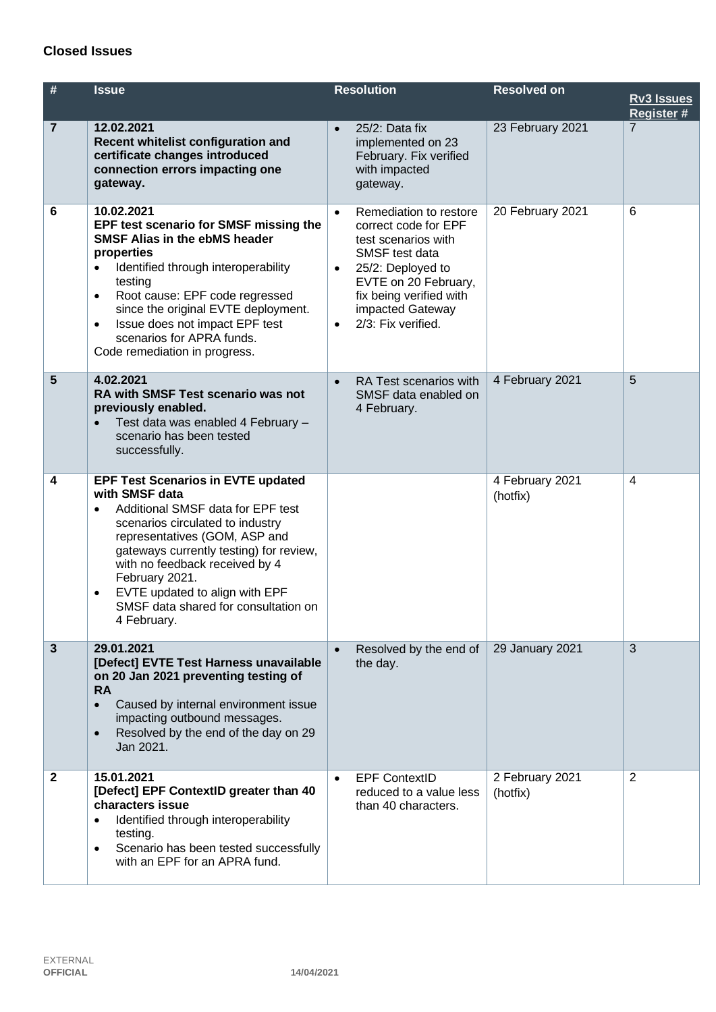### **Closed Issues**

| #              | <b>Issue</b>                                                                                                                                                                                                                                                                                                                                                                 | <b>Resolution</b>                                                                                                                                                                                                                                | <b>Resolved on</b>          | <b>Rv3 Issues</b><br>Register # |
|----------------|------------------------------------------------------------------------------------------------------------------------------------------------------------------------------------------------------------------------------------------------------------------------------------------------------------------------------------------------------------------------------|--------------------------------------------------------------------------------------------------------------------------------------------------------------------------------------------------------------------------------------------------|-----------------------------|---------------------------------|
| $\overline{7}$ | 12.02.2021<br>Recent whitelist configuration and<br>certificate changes introduced<br>connection errors impacting one<br>gateway.                                                                                                                                                                                                                                            | 25/2: Data fix<br>$\bullet$<br>implemented on 23<br>February. Fix verified<br>with impacted<br>gateway.                                                                                                                                          | 23 February 2021            | $\overline{7}$                  |
| 6              | 10.02.2021<br>EPF test scenario for SMSF missing the<br><b>SMSF Alias in the ebMS header</b><br>properties<br>Identified through interoperability<br>$\bullet$<br>testing<br>Root cause: EPF code regressed<br>$\bullet$<br>since the original EVTE deployment.<br>Issue does not impact EPF test<br>$\bullet$<br>scenarios for APRA funds.<br>Code remediation in progress. | Remediation to restore<br>$\bullet$<br>correct code for EPF<br>test scenarios with<br>SMSF test data<br>25/2: Deployed to<br>$\bullet$<br>EVTE on 20 February,<br>fix being verified with<br>impacted Gateway<br>2/3: Fix verified.<br>$\bullet$ | 20 February 2021            | 6                               |
| 5              | 4.02.2021<br>RA with SMSF Test scenario was not<br>previously enabled.<br>Test data was enabled 4 February -<br>scenario has been tested<br>successfully.                                                                                                                                                                                                                    | RA Test scenarios with<br>$\bullet$<br>SMSF data enabled on<br>4 February.                                                                                                                                                                       | 4 February 2021             | 5                               |
| 4              | <b>EPF Test Scenarios in EVTE updated</b><br>with SMSF data<br>Additional SMSF data for EPF test<br>scenarios circulated to industry<br>representatives (GOM, ASP and<br>gateways currently testing) for review,<br>with no feedback received by 4<br>February 2021.<br>EVTE updated to align with EPF<br>$\bullet$<br>SMSF data shared for consultation on<br>4 February.   |                                                                                                                                                                                                                                                  | 4 February 2021<br>(hotfix) | $\overline{4}$                  |
| $\mathbf{3}$   | 29.01.2021<br>[Defect] EVTE Test Harness unavailable<br>on 20 Jan 2021 preventing testing of<br><b>RA</b><br>Caused by internal environment issue<br>$\bullet$<br>impacting outbound messages.<br>Resolved by the end of the day on 29<br>$\bullet$<br>Jan 2021.                                                                                                             | Resolved by the end of<br>$\bullet$<br>the day.                                                                                                                                                                                                  | 29 January 2021             | 3                               |
| $\mathbf{2}$   | 15.01.2021<br>[Defect] EPF ContextID greater than 40<br>characters issue<br>Identified through interoperability<br>testing.<br>Scenario has been tested successfully<br>٠<br>with an EPF for an APRA fund.                                                                                                                                                                   | <b>EPF ContextID</b><br>$\bullet$<br>reduced to a value less<br>than 40 characters.                                                                                                                                                              | 2 February 2021<br>(hotfix) | 2                               |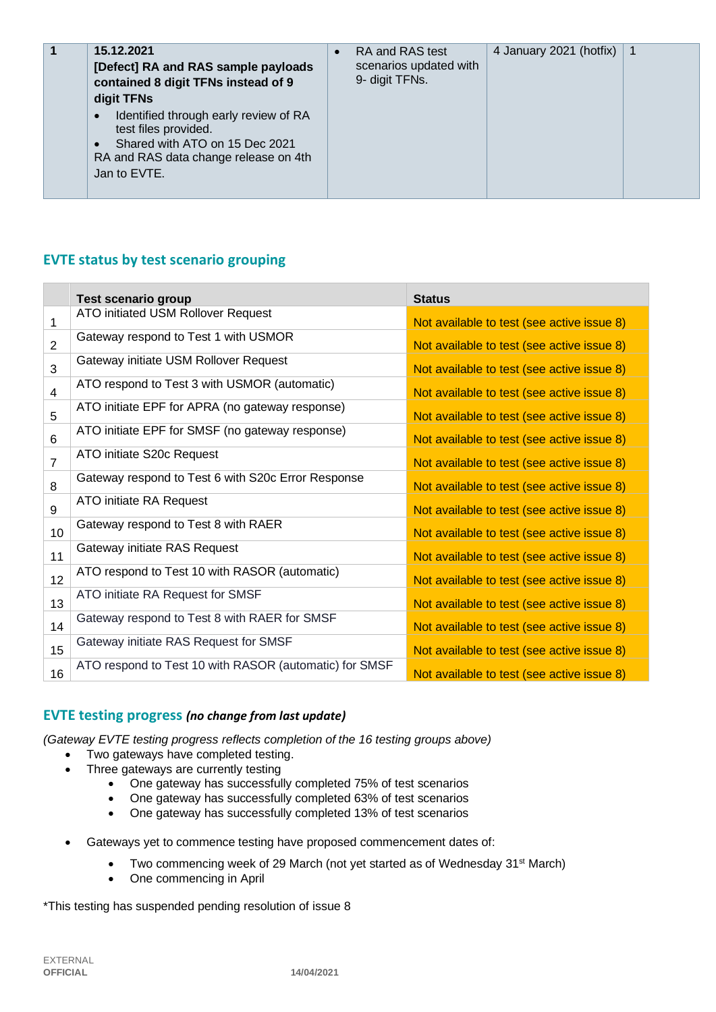| 15.12.2021<br>1<br>[Defect] RA and RAS sample payloads<br>contained 8 digit TFNs instead of 9<br>digit TFNs<br>Identified through early review of RA<br>$\bullet$<br>test files provided.<br>Shared with ATO on 15 Dec 2021<br>$\bullet$<br>RA and RAS data change release on 4th<br>Jan to EVTE. | $\bullet$ | RA and RAS test<br>scenarios updated with<br>9- digit TFNs. | 4 January 2021 (hotfix) | $\overline{\mathbf{1}}$ |
|---------------------------------------------------------------------------------------------------------------------------------------------------------------------------------------------------------------------------------------------------------------------------------------------------|-----------|-------------------------------------------------------------|-------------------------|-------------------------|
|---------------------------------------------------------------------------------------------------------------------------------------------------------------------------------------------------------------------------------------------------------------------------------------------------|-----------|-------------------------------------------------------------|-------------------------|-------------------------|

# **EVTE status by test scenario grouping**

|                | Test scenario group                                    | <b>Status</b>                              |
|----------------|--------------------------------------------------------|--------------------------------------------|
| 1              | ATO initiated USM Rollover Request                     | Not available to test (see active issue 8) |
| $\overline{2}$ | Gateway respond to Test 1 with USMOR                   | Not available to test (see active issue 8) |
| 3              | Gateway initiate USM Rollover Request                  | Not available to test (see active issue 8) |
| 4              | ATO respond to Test 3 with USMOR (automatic)           | Not available to test (see active issue 8) |
| 5              | ATO initiate EPF for APRA (no gateway response)        | Not available to test (see active issue 8) |
| 6              | ATO initiate EPF for SMSF (no gateway response)        | Not available to test (see active issue 8) |
| $\overline{7}$ | ATO initiate S20c Request                              | Not available to test (see active issue 8) |
| 8              | Gateway respond to Test 6 with S20c Error Response     | Not available to test (see active issue 8) |
| 9              | ATO initiate RA Request                                | Not available to test (see active issue 8) |
| 10             | Gateway respond to Test 8 with RAER                    | Not available to test (see active issue 8) |
| 11             | Gateway initiate RAS Request                           | Not available to test (see active issue 8) |
| 12             | ATO respond to Test 10 with RASOR (automatic)          | Not available to test (see active issue 8) |
| 13             | ATO initiate RA Request for SMSF                       | Not available to test (see active issue 8) |
| 14             | Gateway respond to Test 8 with RAER for SMSF           | Not available to test (see active issue 8) |
| 15             | Gateway initiate RAS Request for SMSF                  | Not available to test (see active issue 8) |
| 16             | ATO respond to Test 10 with RASOR (automatic) for SMSF | Not available to test (see active issue 8) |

#### **EVTE testing progress** *(no change from last update)*

*(Gateway EVTE testing progress reflects completion of the 16 testing groups above)*

- Two gateways have completed testing.
- Three gateways are currently testing
	- One gateway has successfully completed 75% of test scenarios
	- One gateway has successfully completed 63% of test scenarios
	- One gateway has successfully completed 13% of test scenarios
	- Gateways yet to commence testing have proposed commencement dates of:
		- Two commencing week of 29 March (not yet started as of Wednesday 31<sup>st</sup> March)
		- One commencing in April

\*This testing has suspended pending resolution of issue 8